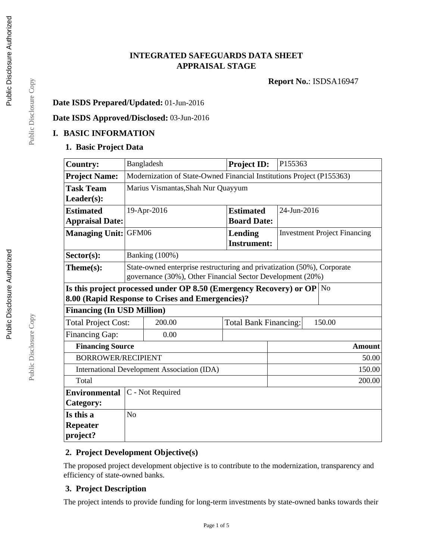# **INTEGRATED SAFEGUARDS DATA SHEET APPRAISAL STAGE**

**Report No.**: ISDSA16947

## **Date ISDS Prepared/Updated:** 01-Jun-2016

## **Date ISDS Approved/Disclosed:** 03-Jun-2016

## **I. BASIC INFORMATION**

## **1. Basic Project Data**

| <b>Country:</b>             |                                                                                                                                       | Bangladesh                                       | <b>Project ID:</b>                   | P155363                             |               |  |  |
|-----------------------------|---------------------------------------------------------------------------------------------------------------------------------------|--------------------------------------------------|--------------------------------------|-------------------------------------|---------------|--|--|
| <b>Project Name:</b>        | Modernization of State-Owned Financial Institutions Project (P155363)                                                                 |                                                  |                                      |                                     |               |  |  |
| <b>Task Team</b>            | Marius Vismantas, Shah Nur Quayyum                                                                                                    |                                                  |                                      |                                     |               |  |  |
| $Leader(s)$ :               |                                                                                                                                       |                                                  |                                      |                                     |               |  |  |
| <b>Estimated</b>            |                                                                                                                                       | 19-Apr-2016                                      | <b>Estimated</b>                     | 24-Jun-2016                         |               |  |  |
| <b>Appraisal Date:</b>      |                                                                                                                                       |                                                  | <b>Board Date:</b>                   |                                     |               |  |  |
| <b>Managing Unit:</b>       | GFM06                                                                                                                                 |                                                  | <b>Lending</b><br><b>Instrument:</b> | <b>Investment Project Financing</b> |               |  |  |
| $Sector(s)$ :               |                                                                                                                                       | <b>Banking</b> (100%)                            |                                      |                                     |               |  |  |
| Theme(s):                   | State-owned enterprise restructuring and privatization (50%), Corporate<br>governance (30%), Other Financial Sector Development (20%) |                                                  |                                      |                                     |               |  |  |
|                             | Is this project processed under OP 8.50 (Emergency Recovery) or OP No<br>8.00 (Rapid Response to Crises and Emergencies)?             |                                                  |                                      |                                     |               |  |  |
|                             | <b>Financing (In USD Million)</b>                                                                                                     |                                                  |                                      |                                     |               |  |  |
| <b>Total Project Cost:</b>  |                                                                                                                                       | 200.00<br><b>Total Bank Financing:</b><br>150.00 |                                      |                                     |               |  |  |
| <b>Financing Gap:</b>       |                                                                                                                                       | 0.00                                             |                                      |                                     |               |  |  |
| <b>Financing Source</b>     |                                                                                                                                       |                                                  |                                      |                                     | <b>Amount</b> |  |  |
| <b>BORROWER/RECIPIENT</b>   |                                                                                                                                       |                                                  |                                      | 50.00                               |               |  |  |
|                             | 150.00<br>International Development Association (IDA)                                                                                 |                                                  |                                      |                                     |               |  |  |
| Total                       | 200.00                                                                                                                                |                                                  |                                      |                                     |               |  |  |
| <b>Environmental</b>        |                                                                                                                                       | C - Not Required                                 |                                      |                                     |               |  |  |
| Category:                   |                                                                                                                                       |                                                  |                                      |                                     |               |  |  |
| Is this a                   | No                                                                                                                                    |                                                  |                                      |                                     |               |  |  |
| <b>Repeater</b><br>project? |                                                                                                                                       |                                                  |                                      |                                     |               |  |  |

## **2. Project Development Objective(s)**

The proposed project development objective is to contribute to the modernization, transparency and efficiency of state-owned banks.

## **3. Project Description**

The project intends to provide funding for long-term investments by state-owned banks towards their

Public Disclosure Copy Public Disclosure Copy

Public Disclosure Copy

Public Disclosure Copy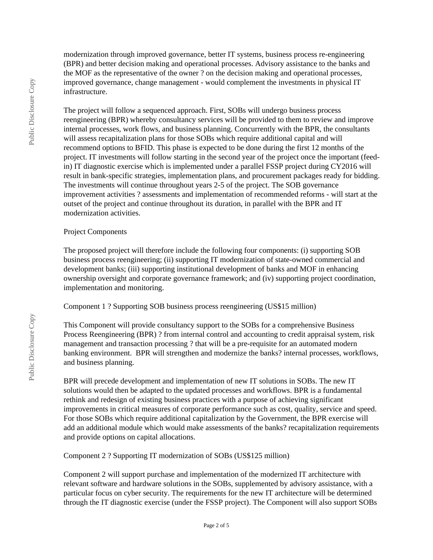modernization through improved governance, better IT systems, business process re-engineering (BPR) and better decision making and operational processes. Advisory assistance to the banks and the MOF as the representative of the owner ? on the decision making and operational processes, improved governance, change management - would complement the investments in physical IT infrastructure.

The project will follow a sequenced approach. First, SOBs will undergo business process reengineering (BPR) whereby consultancy services will be provided to them to review and improve internal processes, work flows, and business planning. Concurrently with the BPR, the consultants will assess recapitalization plans for those SOBs which require additional capital and will recommend options to BFID. This phase is expected to be done during the first 12 months of the project. IT investments will follow starting in the second year of the project once the important (feedin) IT diagnostic exercise which is implemented under a parallel FSSP project during CY2016 will result in bank-specific strategies, implementation plans, and procurement packages ready for bidding. The investments will continue throughout years 2-5 of the project. The SOB governance improvement activities ? assessments and implementation of recommended reforms - will start at the outset of the project and continue throughout its duration, in parallel with the BPR and IT modernization activities.

#### Project Components

The proposed project will therefore include the following four components: (i) supporting SOB business process reengineering; (ii) supporting IT modernization of state-owned commercial and development banks; (iii) supporting institutional development of banks and MOF in enhancing ownership oversight and corporate governance framework; and (iv) supporting project coordination, implementation and monitoring.

Component 1 ? Supporting SOB business process reengineering (US\$15 million)

This Component will provide consultancy support to the SOBs for a comprehensive Business Process Reengineering (BPR) ? from internal control and accounting to credit appraisal system, risk management and transaction processing ? that will be a pre-requisite for an automated modern banking environment. BPR will strengthen and modernize the banks? internal processes, workflows, and business planning.

BPR will precede development and implementation of new IT solutions in SOBs. The new IT solutions would then be adapted to the updated processes and workflows. BPR is a fundamental rethink and redesign of existing business practices with a purpose of achieving significant improvements in critical measures of corporate performance such as cost, quality, service and speed. For those SOBs which require additional capitalization by the Government, the BPR exercise will add an additional module which would make assessments of the banks? recapitalization requirements and provide options on capital allocations.

Component 2 ? Supporting IT modernization of SOBs (US\$125 million)

Component 2 will support purchase and implementation of the modernized IT architecture with relevant software and hardware solutions in the SOBs, supplemented by advisory assistance, with a particular focus on cyber security. The requirements for the new IT architecture will be determined through the IT diagnostic exercise (under the FSSP project). The Component will also support SOBs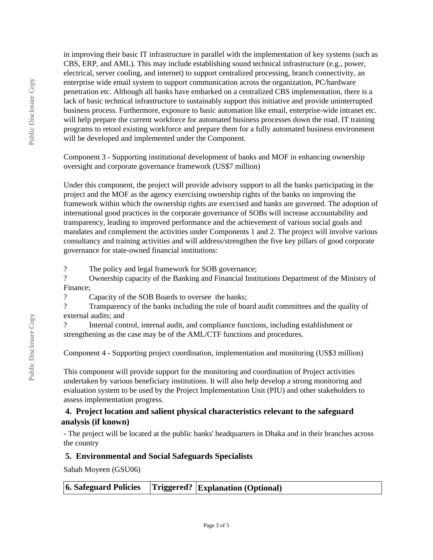in improving their basic IT infrastructure in parallel with the implementation of key systems (such as CBS, ERP, and AML). This may include establishing sound technical infrastructure (e.g., power, electrical, server cooling, and internet) to support centralized processing, branch connectivity, an enterprise wide email system to support communication across the organization, PC/hardware penetration etc. Although all banks have embarked on a centralized CBS implementation, there is a lack of basic technical infrastructure to sustainably support this initiative and provide uninterrupted business process. Furthermore, exposure to basic automation like email, enterprise-wide intranet etc. will help prepare the current workforce for automated business processes down the road. IT training programs to retool existing workforce and prepare them for a fully automated business environment will be developed and implemented under the Component.

Component 3 - Supporting institutional development of banks and MOF in enhancing ownership oversight and corporate governance framework (US\$7 million)

Under this component, the project will provide advisory support to all the banks participating in the project and the MOF as the agency exercising ownership rights of the banks on improving the framework within which the ownership rights are exercised and banks are governed. The adoption of international good practices in the corporate governance of SOBs will increase accountability and transparency, leading to improved performance and the achievement of various social goals and mandates and complement the activities under Components 1 and 2. The project will involve various consultancy and training activities and will address/strengthen the five key pillars of good corporate governance for state-owned financial institutions:

? The policy and legal framework for SOB governance;

? Ownership capacity of the Banking and Financial Institutions Department of the Ministry of Finance;

? Capacity of the SOB Boards to oversee the banks;

? Transparency of the banks including the role of board audit committees and the quality of external audits; and

? Internal control, internal audit, and compliance functions, including establishment or strengthening as the case may be of the AML/CTF functions and procedures.

Component 4 - Supporting project coordination, implementation and monitoring (US\$3 million)

This component will provide support for the monitoring and coordination of Project activities undertaken by various beneficiary institutions. It will also help develop a strong monitoring and evaluation system to be used by the Project Implementation Unit (PIU) and other stakeholders to assess implementation progress.

# **4. Project location and salient physical characteristics relevant to the safeguard analysis (if known)**

- The project will be located at the public banks' headquarters in Dhaka and in their branches across the country

# **5. Environmental and Social Safeguards Specialists**

Sabah Moyeen (GSU06)

|--|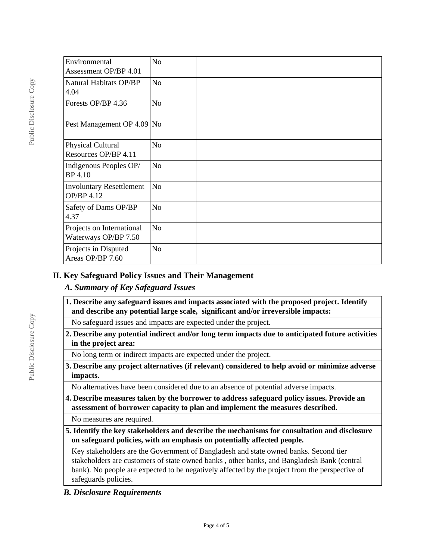| Environmental                   | No             |  |
|---------------------------------|----------------|--|
| Assessment OP/BP 4.01           |                |  |
|                                 |                |  |
| Natural Habitats OP/BP          | No             |  |
| 4.04                            |                |  |
| Forests OP/BP 4.36              | N <sub>o</sub> |  |
| Pest Management OP 4.09         | N <sub>o</sub> |  |
|                                 |                |  |
| Physical Cultural               | N <sub>o</sub> |  |
| Resources OP/BP 4.11            |                |  |
| Indigenous Peoples OP/          | No             |  |
| <b>BP</b> 4.10                  |                |  |
|                                 |                |  |
| <b>Involuntary Resettlement</b> | N <sub>o</sub> |  |
| OP/BP 4.12                      |                |  |
| Safety of Dams OP/BP            | No             |  |
| 4.37                            |                |  |
| Projects on International       | N <sub>o</sub> |  |
| Waterways OP/BP 7.50            |                |  |
|                                 |                |  |
| Projects in Disputed            | No             |  |
| Areas OP/BP 7.60                |                |  |

## **II. Key Safeguard Policy Issues and Their Management**

## *A. Summary of Key Safeguard Issues*

**1. Describe any safeguard issues and impacts associated with the proposed project. Identify and describe any potential large scale, significant and/or irreversible impacts:**

No safeguard issues and impacts are expected under the project.

**2. Describe any potential indirect and/or long term impacts due to anticipated future activities in the project area:**

No long term or indirect impacts are expected under the project.

**3. Describe any project alternatives (if relevant) considered to help avoid or minimize adverse impacts.**

No alternatives have been considered due to an absence of potential adverse impacts.

**4. Describe measures taken by the borrower to address safeguard policy issues. Provide an assessment of borrower capacity to plan and implement the measures described.**

No measures are required.

**5. Identify the key stakeholders and describe the mechanisms for consultation and disclosure on safeguard policies, with an emphasis on potentially affected people.**

Key stakeholders are the Government of Bangladesh and state owned banks. Second tier stakeholders are customers of state owned banks , other banks, and Bangladesh Bank (central bank). No people are expected to be negatively affected by the project from the perspective of safeguards policies.

## *B. Disclosure Requirements*